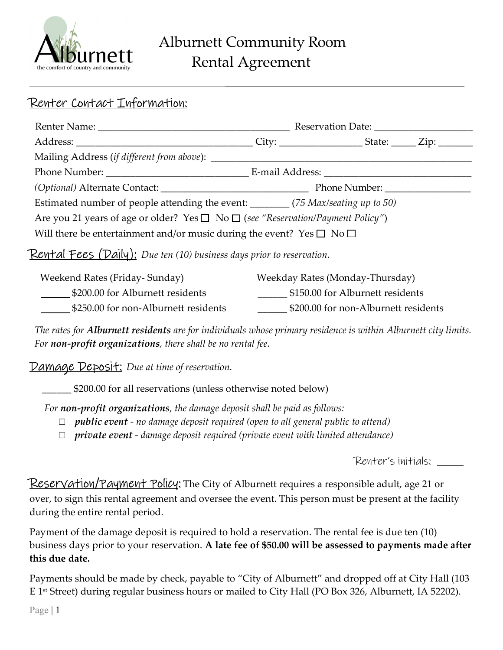

## Renter Contact Information:

|                                                                                                 | Reservation Date: |  |  |  |  |
|-------------------------------------------------------------------------------------------------|-------------------|--|--|--|--|
|                                                                                                 |                   |  |  |  |  |
|                                                                                                 |                   |  |  |  |  |
|                                                                                                 |                   |  |  |  |  |
|                                                                                                 |                   |  |  |  |  |
| Estimated number of people attending the event: ________ (75 Max/seating up to 50)              |                   |  |  |  |  |
| Are you 21 years of age or older? Yes $\square$ No $\square$ (see "Reservation/Payment Policy") |                   |  |  |  |  |
| Will there be entertainment and/or music during the event? Yes $\square$ No $\square$           |                   |  |  |  |  |
|                                                                                                 |                   |  |  |  |  |

### **Rental Fees (Daily):** Due ten (10) business days prior to reservation.

| Weekend Rates (Friday- Sunday)       | Weekday Rates (Monday-Thursday)      |
|--------------------------------------|--------------------------------------|
| \$200.00 for Alburnett residents     | \$150.00 for Alburnett residents     |
| \$250.00 for non-Alburnett residents | \$200.00 for non-Alburnett residents |

The rates for **Alburnett residents** are for individuals whose primary residence is within Alburnett city limits. For non-profit organizations, there shall be no rental fee.

Damage Deposit: Due at time of reservation.

\$200.00 for all reservations (unless otherwise noted below)

For non-profit organizations, the damage deposit shall be paid as follows:

- $\Box$  public event no damage deposit required (open to all general public to attend)
- $\Box$  private event damage deposit required (private event with limited attendance)

Renter's initials: \_\_\_\_\_

Reservation/Payment Policy: The City of Alburnett requires a responsible adult, age 21 or over, to sign this rental agreement and oversee the event. This person must be present at the facility during the entire rental period.

Payment of the damage deposit is required to hold a reservation. The rental fee is due ten (10) business days prior to your reservation. A late fee of \$50.00 will be assessed to payments made after this due date.

Payments should be made by check, payable to "City of Alburnett" and dropped off at City Hall (103 E 1st Street) during regular business hours or mailed to City Hall (PO Box 326, Alburnett, IA 52202).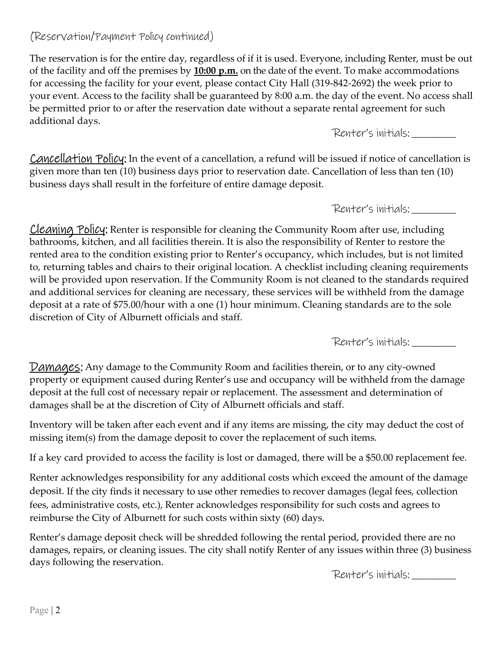### (Reservation/Payment Policy continued)

The reservation is for the entire day, regardless of if it is used. Everyone, including Renter, must be out of the facility and off the premises by  $10:00$  p.m. on the date of the event. To make accommodations for accessing the facility for your event, please contact City Hall (319-842-2692) the week prior to your event. Access to the facility shall be guaranteed by 8:00 a.m. the day of the event. No access shall be permitted prior to or after the reservation date without a separate rental agreement for such additional days.

Renter's initials: \_\_\_\_\_\_\_\_\_

**Cancellation Policy:** In the event of a cancellation, a refund will be issued if notice of cancellation is given more than ten (10) business days prior to reservation date. Cancellation of less than ten (10) business days shall result in the forfeiture of entire damage deposit.

Renter's initials: \_\_\_\_\_\_\_\_\_

 $\mathbf{r}$ Cleaning Policy: Renter is responsible for cleaning the Community Room after use, including bathrooms, kitchen, and all facilities therein. It is also the responsibility of Renter to restore the rented area to the condition existing prior to Renter's occupancy, which includes, but is not limited to, returning tables and chairs to their original location. A checklist including cleaning requirements will be provided upon reservation. If the Community Room is not cleaned to the standards required and additional services for cleaning are necessary, these services will be withheld from the damage deposit at a rate of \$75.00/hour with a one (1) hour minimum. Cleaning standards are to the sole discretion of City of Alburnett officials and staff.

Renter's initials: \_\_\_\_\_\_\_\_\_

Damages: Any damage to the Community Room and facilities therein, or to any city-owned property or equipment caused during Renter's use and occupancy will be withheld from the damage deposit at the full cost of necessary repair or replacement. The assessment and determination of damages shall be at the discretion of City of Alburnett officials and staff.

Inventory will be taken after each event and if any items are missing, the city may deduct the cost of missing item(s) from the damage deposit to cover the replacement of such items.

If a key card provided to access the facility is lost or damaged, there will be a \$50.00 replacement fee.

Renter acknowledges responsibility for any additional costs which exceed the amount of the damage deposit. If the city finds it necessary to use other remedies to recover damages (legal fees, collection fees, administrative costs, etc.), Renter acknowledges responsibility for such costs and agrees to reimburse the City of Alburnett for such costs within sixty (60) days.

Renter's damage deposit check will be shredded following the rental period, provided there are no damages, repairs, or cleaning issues. The city shall notify Renter of any issues within three (3) business days following the reservation.

Renter's initials: \_\_\_\_\_\_\_\_\_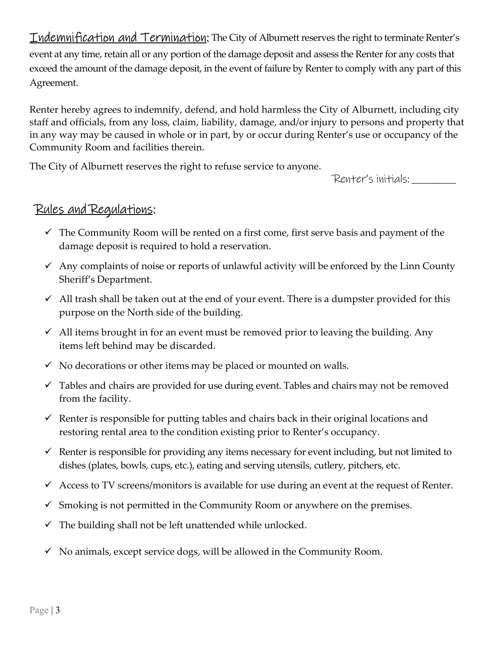**Indemnification and Termination:** The City of Alburnett reserves the right to terminate Renter's event at any time, retain all or any portion of the damage deposit and assess the Renter for any costs that exceed the amount of the damage deposit, in the event of failure by Renter to comply with any part of this Agreement.

Renter hereby agrees to indemnify, defend, and hold harmless the City of Alburnett, including city staff and officials, from any loss, claim, liability, damage, and/or injury to persons and property that in any way may be caused in whole or in part, by or occur during Renter's use or occupancy of the Community Room and facilities therein.

The City of Alburnett reserves the right to refuse service to anyone.

Renter's initials: \_\_\_\_\_\_\_\_\_

### Rules and Regulations: Ξ

- $\checkmark$  The Community Room will be rented on a first come, first serve basis and payment of the damage deposit is required to hold a reservation.
- $\checkmark$  Any complaints of noise or reports of unlawful activity will be enforced by the Linn County Sheriff's Department.
- $\checkmark$  All trash shall be taken out at the end of your event. There is a dumpster provided for this purpose on the North side of the building.
- $\checkmark$  All items brought in for an event must be removed prior to leaving the building. Any items left behind may be discarded.
- $\checkmark$  No decorations or other items may be placed or mounted on walls.
- $\checkmark$  Tables and chairs are provided for use during event. Tables and chairs may not be removed from the facility.
- $\checkmark$  Renter is responsible for putting tables and chairs back in their original locations and restoring rental area to the condition existing prior to Renter's occupancy.
- $\checkmark$  Renter is responsible for providing any items necessary for event including, but not limited to dishes (plates, bowls, cups, etc.), eating and serving utensils, cutlery, pitchers, etc.
- $\checkmark$  Access to TV screens/monitors is available for use during an event at the request of Renter.
- $\checkmark$  Smoking is not permitted in the Community Room or anywhere on the premises.
- $\checkmark$  The building shall not be left unattended while unlocked.
- $\checkmark$  No animals, except service dogs, will be allowed in the Community Room.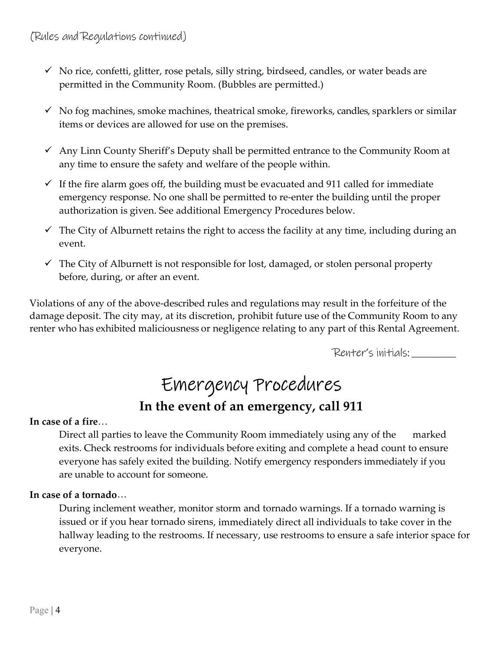- $\checkmark$  No rice, confetti, glitter, rose petals, silly string, birdseed, candles, or water beads are permitted in the Community Room. (Bubbles are permitted.)
- $\checkmark$  No fog machines, smoke machines, theatrical smoke, fireworks, candles, sparklers or similar items or devices are allowed for use on the premises.
- $\checkmark$  Any Linn County Sheriff's Deputy shall be permitted entrance to the Community Room at any time to ensure the safety and welfare of the people within.
- $\checkmark$  If the fire alarm goes off, the building must be evacuated and 911 called for immediate emergency response. No one shall be permitted to re-enter the building until the proper authorization is given. See additional Emergency Procedures below.
- $\checkmark$  The City of Alburnett retains the right to access the facility at any time, including during an event.
- $\checkmark$  The City of Alburnett is not responsible for lost, damaged, or stolen personal property before, during, or after an event.

Violations of any of the above-described rules and regulations may result in the forfeiture of the damage deposit. The city may, at its discretion, prohibit future use of the Community Room to any renter who has exhibited maliciousness or negligence relating to any part of this Rental Agreement.

Renter's initials: \_\_\_\_\_\_\_\_\_

# Emergency Procedures In the event of an emergency, call 911

#### In case of a fire…

Direct all parties to leave the Community Room immediately using any of the marked exits. Check restrooms for individuals before exiting and complete a head count to ensure everyone has safely exited the building. Notify emergency responders immediately if you are unable to account for someone.

### In case of a tornado…

During inclement weather, monitor storm and tornado warnings. If a tornado warning is issued or if you hear tornado sirens, immediately direct all individuals to take cover in the hallway leading to the restrooms. If necessary, use restrooms to ensure a safe interior space for everyone.